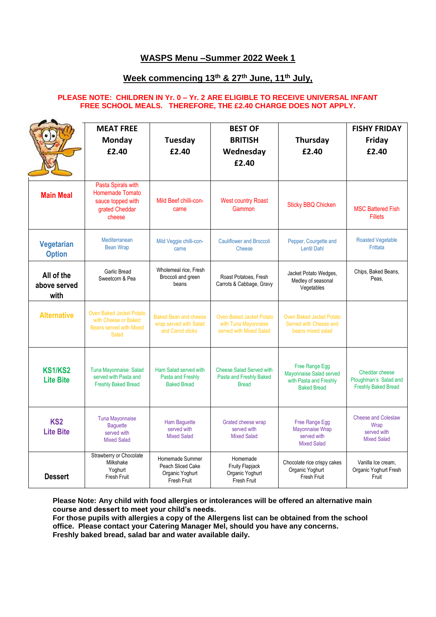## **WASPS Menu –Summer 2022 Week 1**

## **Week commencing 13th & 27th June, 11th July,**

#### **PLEASE NOTE: CHILDREN IN Yr. 0 – Yr. 2 ARE ELIGIBLE TO RECEIVE UNIVERSAL INFANT FREE SCHOOL MEALS. THEREFORE, THE £2.40 CHARGE DOES NOT APPLY.**

|                                     | <b>MEAT FREE</b><br>Monday<br>f2.40                                                                | <b>Tuesday</b><br>£2.40                                                     | <b>BEST OF</b><br><b>BRITISH</b><br>Wednesday<br>£2.40                             | Thursday<br>£2.40                                                                         | <b>FISHY FRIDAY</b><br>Friday<br>£2.40                                  |
|-------------------------------------|----------------------------------------------------------------------------------------------------|-----------------------------------------------------------------------------|------------------------------------------------------------------------------------|-------------------------------------------------------------------------------------------|-------------------------------------------------------------------------|
| <b>Main Meal</b>                    | Pasta Spirals with<br><b>Homemade Tomato</b><br>sauce topped with<br>grated Cheddar<br>cheese      | Mild Beef chilli-con-<br>carne                                              | <b>West country Roast</b><br>Gammon                                                | <b>Sticky BBQ Chicken</b>                                                                 | <b>MSC Battered Fish</b><br><b>Fillets</b>                              |
| Vegetarian<br><b>Option</b>         | Mediterranean<br><b>Bean Wrap</b>                                                                  | Mild Veggie chilli-con-<br>carne                                            | <b>Cauliflower and Broccoli</b><br>Cheese                                          | Pepper, Courgette and<br><b>Lentil Dahl</b>                                               | <b>Roasted Vegetable</b><br>Frittata                                    |
| All of the<br>above served<br>with  | Garlic Bread<br>Sweetcorn & Pea                                                                    | Wholemeal rice, Fresh<br>Broccoli and green<br>beans                        | Roast Potatoes, Fresh<br>Carrots & Cabbage, Gravy                                  | Jacket Potato Wedges,<br>Medley of seasonal<br>Vegetables                                 | Chips, Baked Beans,<br>Peas.                                            |
| <b>Alternative</b>                  | <b>Oven Baked Jacket Potato</b><br>with Cheese or Baked<br><b>Beans served with Mixed</b><br>Salad | <b>Baked Bean and cheese</b><br>wrap served with Salad<br>and Carrot sticks | <b>Oven Baked Jacket Potato</b><br>with Tuna Mayonnaise<br>served with Mixed Salad | <b>Oven Baked Jacket Potato</b><br>Served with Cheese and<br>beans mixed salad            |                                                                         |
| <b>KS1/KS2</b><br><b>Lite Bite</b>  | Tuna Mayonnaise Salad<br>served with Pasta and<br><b>Freshly Baked Bread</b>                       | Ham Salad served with<br>Pasta and Freshly<br><b>Baked Bread</b>            | <b>Cheese Salad Served with</b><br>Pasta and Freshly Baked<br><b>Bread</b>         | Free Range Egg<br>Mayonnaise Salad served<br>with Pasta and Freshly<br><b>Baked Bread</b> | Cheddar cheese<br>Ploughman's Salad and<br><b>Freshly Baked Bread</b>   |
| KS <sub>2</sub><br><b>Lite Bite</b> | <b>Tuna Mayonnaise</b><br><b>Baquette</b><br>served with<br><b>Mixed Salad</b>                     | <b>Ham Baguette</b><br>served with<br><b>Mixed Salad</b>                    | Grated cheese wrap<br>served with<br><b>Mixed Salad</b>                            | Free Range Egg<br>Mayonnaise Wrap<br>served with<br><b>Mixed Salad</b>                    | <b>Cheese and Coleslaw</b><br>Wrap<br>served with<br><b>Mixed Salad</b> |
| <b>Dessert</b>                      | Strawberry or Chocolate<br>Milkshake<br>Yoghurt<br>Fresh Fruit                                     | Homemade Summer<br>Peach Sliced Cake<br>Organic Yoghurt<br>Fresh Fruit      | Homemade<br><b>Fruity Flapjack</b><br>Organic Yoghurt<br>Fresh Fruit               | Chocolate rice crispy cakes<br>Organic Yoghurt<br>Fresh Fruit                             | Vanilla Ice cream.<br>Organic Yoghurt Fresh<br>Fruit                    |

**Please Note: Any child with food allergies or intolerances will be offered an alternative main course and dessert to meet your child's needs.**

**For those pupils with allergies a copy of the Allergens list can be obtained from the school office. Please contact your Catering Manager Mel, should you have any concerns. Freshly baked bread, salad bar and water available daily.**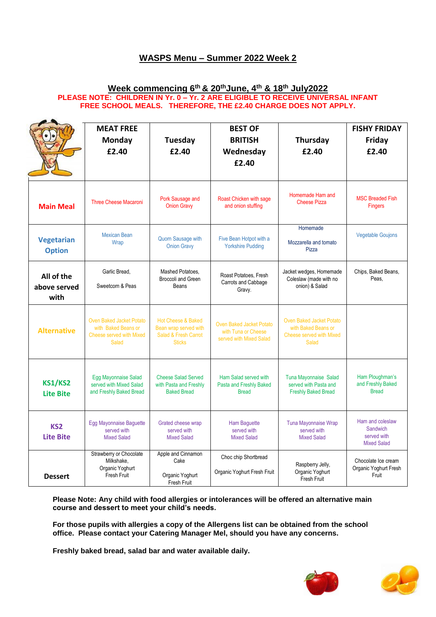# **WASPS Menu – Summer 2022 Week 2**

#### **Week commencing 6th & 20thJune, 4th & 18th July2022 PLEASE NOTE: CHILDREN IN Yr. 0 – Yr. 2 ARE ELIGIBLE TO RECEIVE UNIVERSAL INFANT FREE SCHOOL MEALS. THEREFORE, THE £2.40 CHARGE DOES NOT APPLY.**

|                                     | <b>MEAT FREE</b><br>Monday<br>£2.40                                                                       | <b>Tuesday</b><br>£2.40                                                                         | <b>BEST OF</b><br><b>BRITISH</b><br>Wednesday<br>£2.40                            | Thursday<br>£2.40                                                                                         | <b>FISHY FRIDAY</b><br>Friday<br>£2.40                            |
|-------------------------------------|-----------------------------------------------------------------------------------------------------------|-------------------------------------------------------------------------------------------------|-----------------------------------------------------------------------------------|-----------------------------------------------------------------------------------------------------------|-------------------------------------------------------------------|
| <b>Main Meal</b>                    | <b>Three Cheese Macaroni</b>                                                                              | Pork Sausage and<br><b>Onion Gravy</b>                                                          | Roast Chicken with sage<br>and onion stuffing                                     | Homemade Ham and<br><b>Cheese Pizza</b>                                                                   | <b>MSC Breaded Fish</b><br><b>Fingers</b>                         |
| <b>Vegetarian</b><br><b>Option</b>  | <b>Mexican Bean</b><br>Wrap                                                                               | <b>Quorn Sausage with</b><br><b>Onion Gravy</b>                                                 | Five Bean Hotpot with a<br><b>Yorkshire Pudding</b>                               | Homemade<br>Mozzarella and tomato<br>Pizza                                                                | <b>Vegetable Goujons</b>                                          |
| All of the<br>above served<br>with  | Garlic Bread.<br>Sweetcorn & Peas                                                                         | Mashed Potatoes.<br>Broccoli and Green<br>Beans                                                 | Roast Potatoes, Fresh<br>Carrots and Cabbage<br>Gravy.                            | Jacket wedges, Homemade<br>Coleslaw (made with no<br>onion) & Salad                                       | Chips, Baked Beans,<br>Peas.                                      |
| <b>Alternative</b>                  | <b>Oven Baked Jacket Potato</b><br>with Baked Beans or<br><b>Cheese served with Mixed</b><br><b>Salad</b> | <b>Hot Cheese &amp; Baked</b><br>Bean wrap served with<br>Salad & Fresh Carrot<br><b>Sticks</b> | <b>Oven Baked Jacket Potato</b><br>with Tuna or Cheese<br>served with Mixed Salad | <b>Oven Baked Jacket Potato</b><br>with Baked Beans or<br><b>Cheese served with Mixed</b><br><b>Salad</b> |                                                                   |
| <b>KS1/KS2</b><br><b>Lite Bite</b>  | Egg Mayonnaise Salad<br>served with Mixed Salad<br>and Freshly Baked Bread                                | <b>Cheese Salad Served</b><br>with Pasta and Freshly<br><b>Baked Bread</b>                      | Ham Salad served with<br>Pasta and Freshly Baked<br><b>Bread</b>                  | <b>Tuna Mayonnaise Salad</b><br>served with Pasta and<br><b>Freshly Baked Bread</b>                       | Ham Ploughman's<br>and Freshly Baked<br><b>Bread</b>              |
| KS <sub>2</sub><br><b>Lite Bite</b> | Egg Mayonnaise Baguette<br>served with<br><b>Mixed Salad</b>                                              | Grated cheese wrap<br>served with<br><b>Mixed Salad</b>                                         | <b>Ham Baguette</b><br>served with<br><b>Mixed Salad</b>                          | Tuna Mayonnaise Wrap<br>served with<br><b>Mixed Salad</b>                                                 | Ham and coleslaw<br>Sandwich<br>served with<br><b>Mixed Salad</b> |
| <b>Dessert</b>                      | Strawberry or Chocolate<br>Milkshake,<br>Organic Yoghurt<br><b>Fresh Fruit</b>                            | Apple and Cinnamon<br>Cake<br>Organic Yoghurt<br>Fresh Fruit                                    | Choc chip Shortbread<br>Organic Yoghurt Fresh Fruit                               | Raspberry Jelly,<br>Organic Yoghurt<br>Fresh Fruit                                                        | Chocolate Ice cream<br>Organic Yoghurt Fresh<br>Fruit             |

**Please Note: Any child with food allergies or intolerances will be offered an alternative main course and dessert to meet your child's needs.**

**For those pupils with allergies a copy of the Allergens list can be obtained from the school office. Please contact your Catering Manager Mel, should you have any concerns.**

**Freshly baked bread, salad bar and water available daily.**



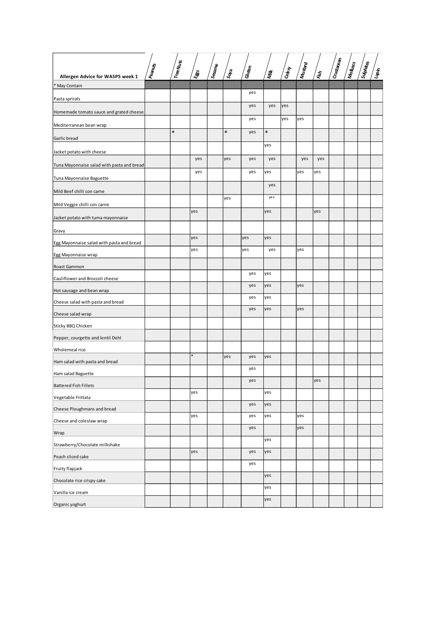| Allergen Advice for WASPS week 1           | Peanus | Tree Nuts | ี่ ซึ่ | Sesame | $s_{0}$ | Gluten     | <b>Mik</b> | Geen       | <b>Mustard</b> | ีเซ็ | $\mathfrak{lo}_\mathfrak{u_{\mathfrak{A}_{\mathfrak{B}_{\mathfrak{B}_{\mathfrak{A}}}}}}$ | Molluscy | Sulphites | הופינו<br>חייבו |
|--------------------------------------------|--------|-----------|--------|--------|---------|------------|------------|------------|----------------|------|------------------------------------------------------------------------------------------|----------|-----------|-----------------|
| * May Contain                              |        |           |        |        |         |            |            |            |                |      |                                                                                          |          |           |                 |
| Pasta sprirals                             |        |           |        |        |         | yes        |            |            |                |      |                                                                                          |          |           |                 |
| Homemade tomato sauce and grated cheese    |        |           |        |        |         | yes<br>yes | yes        | yes<br>yes | yes            |      |                                                                                          |          |           |                 |
| Mediterranean bean wrap                    |        |           |        |        |         |            |            |            |                |      |                                                                                          |          |           |                 |
| Garlic bread                               |        | $\ast$    |        |        | $\ast$  | yes        | $\ast$     |            |                |      |                                                                                          |          |           |                 |
| Jacket potato with cheese                  |        |           |        |        |         |            | yes        |            |                |      |                                                                                          |          |           |                 |
| Tuna Mayonnaise salad with pasta and bread |        |           | yes    |        | yes     | yes        | yes        |            | yes            | yes  |                                                                                          |          |           |                 |
| Tuna Mayonnaise Baguette                   |        |           | yes    |        |         | yes        | yes        |            | yes            | yes  |                                                                                          |          |           |                 |
| Mild Beef chilli con carne                 |        |           |        |        |         |            | yes        |            |                |      |                                                                                          |          |           |                 |
| Mild Veggie chilli con carne               |        |           |        |        | yes     |            | ye s       |            |                |      |                                                                                          |          |           |                 |
| Jacket potato with tuma mayonnaise         |        |           | yes    |        |         |            | yes        |            |                | yes  |                                                                                          |          |           |                 |
| Gravy                                      |        |           |        |        |         |            |            |            |                |      |                                                                                          |          |           |                 |
| Egg Mayonnaise salad with pasta and bread  |        |           | lyes   |        |         | yes        | yes        |            |                |      |                                                                                          |          |           |                 |
| Egg Mayonnaise wrap                        |        |           | yes    |        |         | yes        | yes        |            | yes            |      |                                                                                          |          |           |                 |
| Roast Gammon                               |        |           |        |        |         |            |            |            |                |      |                                                                                          |          |           |                 |
| Cauliflower and Broccoli cheese            |        |           |        |        |         | yes        | yes        |            |                |      |                                                                                          |          |           |                 |
| Hot sausage and bean wrap                  |        |           |        |        |         | yes        | yes        |            | yes            |      |                                                                                          |          |           |                 |
| Cheese salad with pasta and bread          |        |           |        |        |         | yes        | yes        |            |                |      |                                                                                          |          |           |                 |
| Cheese salad wrap                          |        |           |        |        |         | yes        | yes        |            | yes            |      |                                                                                          |          |           |                 |
| Sticky BBQ Chicken                         |        |           |        |        |         |            |            |            |                |      |                                                                                          |          |           |                 |
| Pepper, courgette and lentil Dehl          |        |           |        |        |         |            |            |            |                |      |                                                                                          |          |           |                 |
| Wholemeal rice                             |        |           |        |        |         |            |            |            |                |      |                                                                                          |          |           |                 |
| Ham salad with pasta and bread             |        |           |        |        | yes     | yes        | yes        |            |                |      |                                                                                          |          |           |                 |
| Ham salad Baguette                         |        |           |        |        |         | yes        |            |            |                |      |                                                                                          |          |           |                 |
| <b>Battered Fish Fillets</b>               |        |           |        |        |         | yes        |            |            |                | yes  |                                                                                          |          |           |                 |
| Vegetable Frittata                         |        |           | yes    |        |         |            | yes        |            |                |      |                                                                                          |          |           |                 |
| Cheese Ploughmans and bread                |        |           |        |        |         | yes        | yes        |            |                |      |                                                                                          |          |           |                 |
| Cheese and coleslaw wrap                   |        |           | yes    |        |         | yes        | yes        |            | yes            |      |                                                                                          |          |           |                 |
| Wrap                                       |        |           |        |        |         | yes        |            |            | yes            |      |                                                                                          |          |           |                 |
| Strawberry/Chocolate milkshake             |        |           |        |        |         |            | yes        |            |                |      |                                                                                          |          |           |                 |
| Peach sliced cake                          |        |           | lyes   |        |         | yes        | yes        |            |                |      |                                                                                          |          |           |                 |
| Fruity flapjack                            |        |           |        |        |         | yes        |            |            |                |      |                                                                                          |          |           |                 |
| Chocolate rice crispy cake                 |        |           |        |        |         |            | yes        |            |                |      |                                                                                          |          |           |                 |
| Vanilla ice cream                          |        |           |        |        |         |            | yes        |            |                |      |                                                                                          |          |           |                 |
| Organic yoghurt                            |        |           |        |        |         |            | yes        |            |                |      |                                                                                          |          |           |                 |